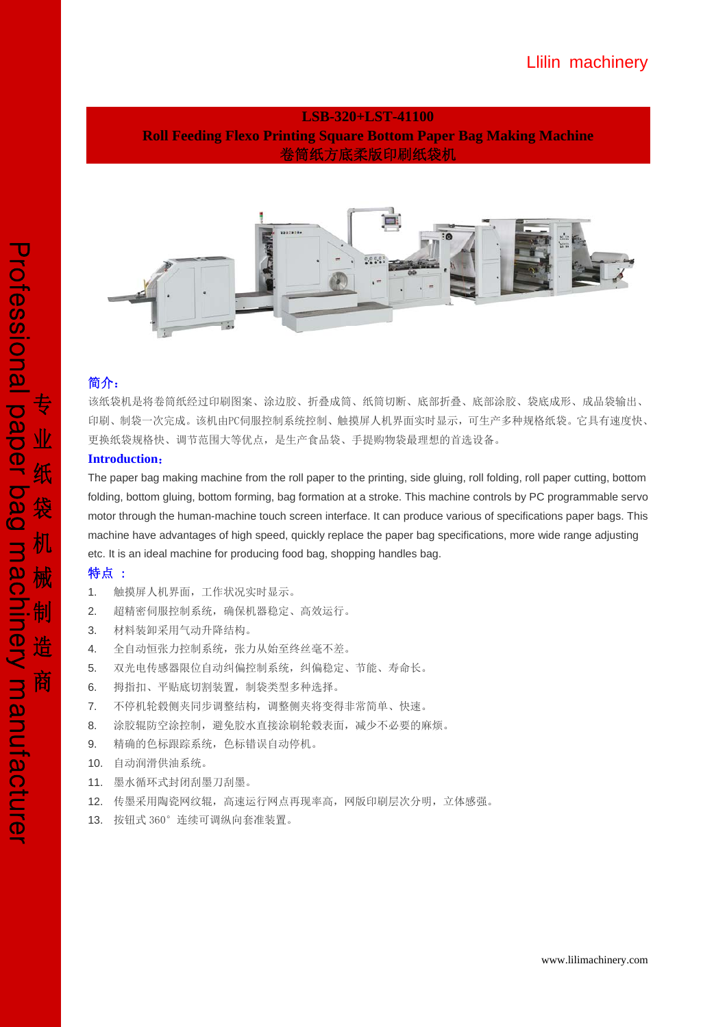## **LSB-320+LST-41100 Roll Feeding Flexo Printing Square Bottom Paper Bag Making Machine**  卷筒纸方底柔版印刷纸袋机



## 简介:

该纸袋机是将卷筒纸经过印刷图案、涂边胶、折叠成筒、纸筒切断、底部折叠、底部涂胶、袋底成形、成品袋输出、 印刷、制袋一次完成。该机由PC伺服控制系统控制、触摸屏人机界面实时显示,可生产多种规格纸袋。它具有速度快、 更换纸袋规格快、调节范围大等优点,是生产食品袋、手提购物袋最理想的首选设备。

### **Introduction**:

The paper bag making machine from the roll paper to the printing, side gluing, roll folding, roll paper cutting, bottom folding, bottom gluing, bottom forming, bag formation at a stroke. This machine controls by PC programmable servo motor through the human-machine touch screen interface. It can produce various of specifications paper bags. This machine have advantages of high speed, quickly replace the paper bag specifications, more wide range adjusting etc. It is an ideal machine for producing food bag, shopping handles bag.

## 特点 :

- 1. 触摸屏人机界面,工作状况实时显示。
- 2. 超精密伺服控制系统,确保机器稳定、高效运行。
- 3. 材料装卸采用气动升降结构。
- 4. 全自动恒张力控制系统,张力从始至终丝毫不差。
- 5. 双光电传感器限位自动纠偏控制系统,纠偏稳定、节能、寿命长。
- 6. 拇指扣、平贴底切割装置,制袋类型多种选择。
- 7. 不停机轮毂侧夹同步调整结构,调整侧夹将变得非常简单、快速。
- 8. 涂胶辊防空涂控制,避免胶水直接涂刷轮毂表面,减少不必要的麻烦。
- 9. 精确的色标跟踪系统,色标错误自动停机。
- 10. 自动润滑供油系统。
- 11. 墨水循环式封闭刮墨刀刮墨。
- 12. 传墨采用陶瓷网纹辊,高速运行网点再现率高,网版印刷层次分明,立体感强。
- 13. 按钮式 360°连续可调纵向套准装置。